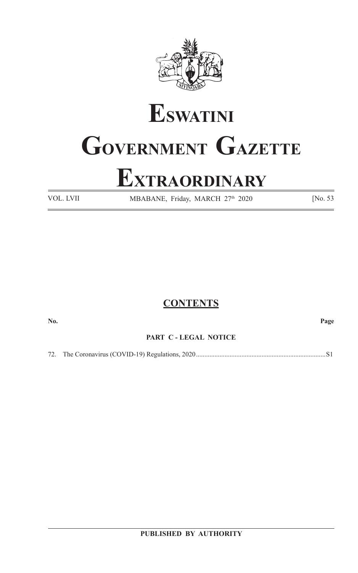

# **ESWATINI GOVERNMENT GAZETTE**

## **EXTRAORDINARY**

VOL. LVII MBABANE, Friday, MARCH 27<sup>th</sup> 2020 [No. 53]

#### **CONTENTS**

**No. Page**

#### **PART C - LEGAL NOTICE**

72. The Coronavirus (COVID-19) Regulations, 2020.............................................................................S1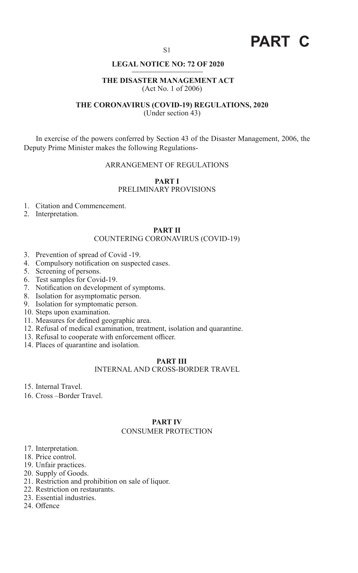### **PART C**

#### **LEGAL NOTICE NO: 72 OF 2020**

#### **THE DISASTER MANAGEMENT ACT** (Act No. 1 of 2006)

#### **THE CORONAVIRUS (COVID-19) REGULATIONS, 2020**

(Under section 43)

In exercise of the powers conferred by Section 43 of the Disaster Management, 2006, the Deputy Prime Minister makes the following Regulations-

#### ARRANGEMENT OF REGULATIONS

#### **PART I** PRELIMINARY PROVISIONS

- 1. Citation and Commencement.
- 2. Interpretation.

#### **PART II**

#### COUNTERING CORONAVIRUS (COVID-19)

- 3. Prevention of spread of Covid -19.
- 4. Compulsory notification on suspected cases.
- 5. Screening of persons.
- 6. Test samples for Covid-19.
- 7. Notification on development of symptoms.
- 8. Isolation for asymptomatic person.
- 9. Isolation for symptomatic person.
- 10. Steps upon examination.
- 11. Measures for defined geographic area.
- 12. Refusal of medical examination, treatment, isolation and quarantine.
- 13. Refusal to cooperate with enforcement officer.
- 14. Places of quarantine and isolation.

#### **PART III**

#### INTERNAL AND CROSS-BORDER TRAVEL

15. Internal Travel.

16. Cross –Border Travel.

#### **PART IV** CONSUMER PROTECTION

- 17. Interpretation.
- 18. Price control.
- 19. Unfair practices.
- 20. Supply of Goods.
- 21. Restriction and prohibition on sale of liquor.
- 22. Restriction on restaurants.
- 23. Essential industries.
- 24. Offence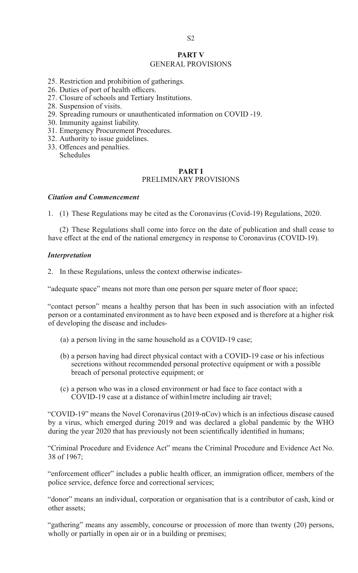#### **PART V**

#### GENERAL PROVISIONS

- 25. Restriction and prohibition of gatherings.
- 26. Duties of port of health officers.
- 27. Closure of schools and Tertiary Institutions.
- 28. Suspension of visits.
- 29. Spreading rumours or unauthenticated information on COVID -19.
- 30. Immunity against liability.
- 31. Emergency Procurement Procedures.
- 32. Authority to issue guidelines.
- 33. Offences and penalties. Schedules

#### **PART I** PRELIMINARY PROVISIONS

#### *Citation and Commencement*

1. (1) These Regulations may be cited as the Coronavirus (Covid-19) Regulations, 2020.

 (2) These Regulations shall come into force on the date of publication and shall cease to have effect at the end of the national emergency in response to Coronavirus (COVID-19).

#### *Interpretation*

2. In these Regulations, unless the context otherwise indicates-

"adequate space" means not more than one person per square meter of floor space;

"contact person" means a healthy person that has been in such association with an infected person or a contaminated environment as to have been exposed and is therefore at a higher risk of developing the disease and includes-

- (a) a person living in the same household as a COVID-19 case;
- (b) a person having had direct physical contact with a COVID-19 case or his infectious secretions without recommended personal protective equipment or with a possible breach of personal protective equipment; or
- (c) a person who was in a closed environment or had face to face contact with a COVID-19 case at a distance of within1metre including air travel;

"COVID-19" means the Novel Coronavirus (2019-nCov) which is an infectious disease caused by a virus, which emerged during 2019 and was declared a global pandemic by the WHO during the year 2020 that has previously not been scientifically identified in humans;

"Criminal Procedure and Evidence Act" means the Criminal Procedure and Evidence Act No. 38 of 1967;

"enforcement officer" includes a public health officer, an immigration officer, members of the police service, defence force and correctional services;

"donor" means an individual, corporation or organisation that is a contributor of cash, kind or other assets;

"gathering" means any assembly, concourse or procession of more than twenty (20) persons, wholly or partially in open air or in a building or premises;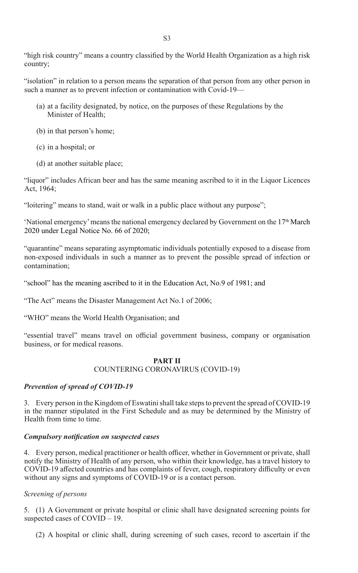"high risk country" means a country classified by the World Health Organization as a high risk country;

"isolation" in relation to a person means the separation of that person from any other person in such a manner as to prevent infection or contamination with Covid-19—

- (a) at a facility designated, by notice, on the purposes of these Regulations by the Minister of Health;
- (b) in that person's home;
- (c) in a hospital; or
- (d) at another suitable place;

"liquor" includes African beer and has the same meaning ascribed to it in the Liquor Licences Act, 1964;

"loitering" means to stand, wait or walk in a public place without any purpose";

'National emergency' means the national emergency declared by Government on the  $17<sup>th</sup>$  March 2020 under Legal Notice No. 66 of 2020;

"quarantine" means separating asymptomatic individuals potentially exposed to a disease from non-exposed individuals in such a manner as to prevent the possible spread of infection or contamination;

"school" has the meaning ascribed to it in the Education Act, No.9 of 1981; and

"The Act" means the Disaster Management Act No.1 of 2006;

"WHO" means the World Health Organisation; and

"essential travel" means travel on official government business, company or organisation business, or for medical reasons.

#### **PART II**

#### COUNTERING CORONAVIRUS (COVID-19)

#### *Prevention of spread of COVID-19*

3. Every person in the Kingdom of Eswatini shall take steps to prevent the spread of COVID-19 in the manner stipulated in the First Schedule and as may be determined by the Ministry of Health from time to time.

#### *Compulsory notification on suspected cases*

4. Every person, medical practitioner or health officer, whether in Government or private, shall notify the Ministry of Health of any person, who within their knowledge, has a travel history to COVID-19 affected countries and has complaints of fever, cough, respiratory difficulty or even without any signs and symptoms of COVID-19 or is a contact person.

#### *Screening of persons*

5. (1) A Government or private hospital or clinic shall have designated screening points for suspected cases of COVID – 19.

(2) A hospital or clinic shall, during screening of such cases, record to ascertain if the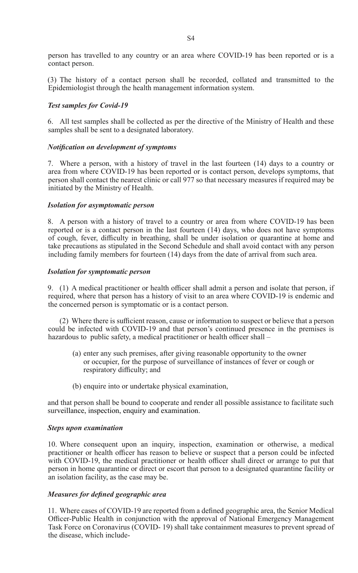person has travelled to any country or an area where COVID-19 has been reported or is a contact person.

(3) The history of a contact person shall be recorded, collated and transmitted to the Epidemiologist through the health management information system.

#### *Test samples for Covid-19*

6. All test samples shall be collected as per the directive of the Ministry of Health and these samples shall be sent to a designated laboratory.

#### *Notification on development of symptoms*

7. Where a person, with a history of travel in the last fourteen (14) days to a country or area from where COVID-19 has been reported or is contact person, develops symptoms, that person shall contact the nearest clinic or call 977 so that necessary measures if required may be initiated by the Ministry of Health.

#### *Isolation for asymptomatic person*

8. A person with a history of travel to a country or area from where COVID-19 has been reported or is a contact person in the last fourteen (14) days, who does not have symptoms of cough, fever, difficulty in breathing, shall be under isolation or quarantine at home and take precautions as stipulated in the Second Schedule and shall avoid contact with any person including family members for fourteen (14) days from the date of arrival from such area.

#### *Isolation for symptomatic person*

9. (1) A medical practitioner or health officer shall admit a person and isolate that person, if required, where that person has a history of visit to an area where COVID-19 is endemic and the concerned person is symptomatic or is a contact person.

 (2) Where there is sufficient reason, cause or information to suspect or believe that a person could be infected with COVID-19 and that person's continued presence in the premises is hazardous to public safety, a medical practitioner or health officer shall –

- (a) enter any such premises, after giving reasonable opportunity to the owner or occupier, for the purpose of surveillance of instances of fever or cough or respiratory difficulty; and
- (b) enquire into or undertake physical examination,

and that person shall be bound to cooperate and render all possible assistance to facilitate such surveillance, inspection, enquiry and examination.

#### *Steps upon examination*

10. Where consequent upon an inquiry, inspection, examination or otherwise, a medical practitioner or health officer has reason to believe or suspect that a person could be infected with COVID-19, the medical practitioner or health officer shall direct or arrange to put that person in home quarantine or direct or escort that person to a designated quarantine facility or an isolation facility, as the case may be.

#### *Measures for defined geographic area*

11. Where cases of COVID-19 are reported from a defined geographic area, the Senior Medical Officer-Public Health in conjunction with the approval of National Emergency Management Task Force on Coronavirus (COVID- 19) shall take containment measures to prevent spread of the disease, which include-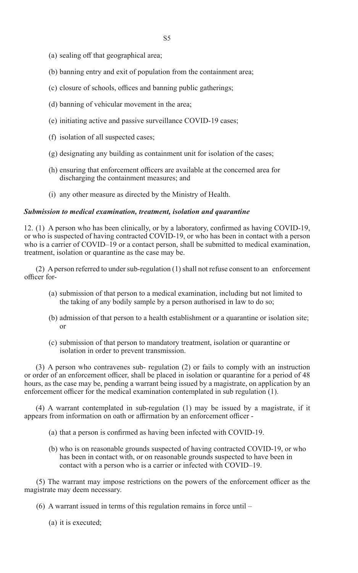- (a) sealing off that geographical area;
- (b) banning entry and exit of population from the containment area;
- (c) closure of schools, offices and banning public gatherings;
- (d) banning of vehicular movement in the area;
- (e) initiating active and passive surveillance COVID-19 cases;
- (f) isolation of all suspected cases;
- $(g)$  designating any building as containment unit for isolation of the cases;
- (h) ensuring that enforcement officers are available at the concerned area for discharging the containment measures; and
- (i) any other measure as directed by the Ministry of Health.

#### *Submission to medical examination, treatment, isolation and quarantine*

12.  $(1)$  A person who has been clinically, or by a laboratory, confirmed as having COVID-19, or who is suspected of having contracted COVID-19, or who has been in contact with a person who is a carrier of COVID–19 or a contact person, shall be submitted to medical examination, treatment, isolation or quarantine as the case may be.

 (2) A person referred to under sub-regulation (1) shall not refuse consent to an enforcement officer for-

- (a) submission of that person to a medical examination, including but not limited to the taking of any bodily sample by a person authorised in law to do so;
- (b) admission of that person to a health establishment or a quarantine or isolation site; or
- (c) submission of that person to mandatory treatment, isolation or quarantine or isolation in order to prevent transmission.

 (3) A person who contravenes sub- regulation (2) or fails to comply with an instruction or order of an enforcement officer, shall be placed in isolation or quarantine for a period of 48 hours, as the case may be, pending a warrant being issued by a magistrate, on application by an enforcement officer for the medical examination contemplated in sub regulation (1).

 (4) A warrant contemplated in sub-regulation (1) may be issued by a magistrate, if it appears from information on oath or affirmation by an enforcement officer -

- (a) that a person is confirmed as having been infected with COVID-19.
- (b) who is on reasonable grounds suspected of having contracted COVID-19, or who has been in contact with, or on reasonable grounds suspected to have been in contact with a person who is a carrier or infected with COVID–19.

(5) The warrant may impose restrictions on the powers of the enforcement officer as the magistrate may deem necessary.

- (6) A warrant issued in terms of this regulation remains in force until
	- (a) it is executed;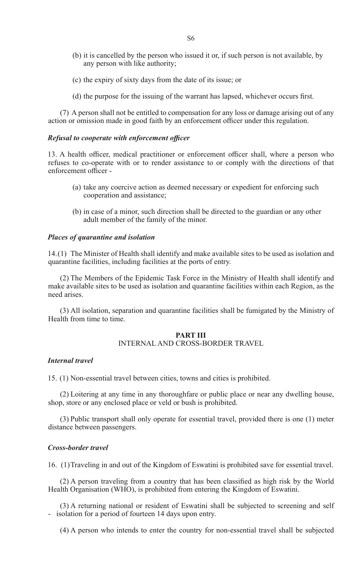- (b) it is cancelled by the person who issued it or, if such person is not available, by any person with like authority;
- (c) the expiry of sixty days from the date of its issue; or
- (d) the purpose for the issuing of the warrant has lapsed, whichever occurs first.

(7) A person shall not be entitled to compensation for any loss or damage arising out of any action or omission made in good faith by an enforcement officer under this regulation.

#### *Refusal to cooperate with enforcement officer*

13. A health officer, medical practitioner or enforcement officer shall, where a person who refuses to co-operate with or to render assistance to or comply with the directions of that enforcement officer -

- (a) take any coercive action as deemed necessary or expedient for enforcing such cooperation and assistance;
- (b) in case of a minor, such direction shall be directed to the guardian or any other adult member of the family of the minor.

#### *Places of quarantine and isolation*

14.(1) The Minister of Health shall identify and make available sites to be used as isolation and quarantine facilities, including facilities at the ports of entry.

(2) The Members of the Epidemic Task Force in the Ministry of Health shall identify and make available sites to be used as isolation and quarantine facilities within each Region, as the need arises.

(3) All isolation, separation and quarantine facilities shall be fumigated by the Ministry of Health from time to time.

#### **PART III** INTERNAL AND CROSS-BORDER TRAVEL

#### *Internal travel*

15. (1) Non-essential travel between cities, towns and cities is prohibited.

(2) Loitering at any time in any thoroughfare or public place or near any dwelling house, shop, store or any enclosed place or veld or bush is prohibited.

(3) Public transport shall only operate for essential travel, provided there is one (1) meter distance between passengers.

#### *Cross-border travel*

16. (1)Traveling in and out of the Kingdom of Eswatini is prohibited save for essential travel.

(2) A person traveling from a country that has been classified as high risk by the World Health Organisation (WHO), is prohibited from entering the Kingdom of Eswatini.

(3) A returning national or resident of Eswatini shall be subjected to screening and self - isolation for a period of fourteen 14 days upon entry.

(4) A person who intends to enter the country for non-essential travel shall be subjected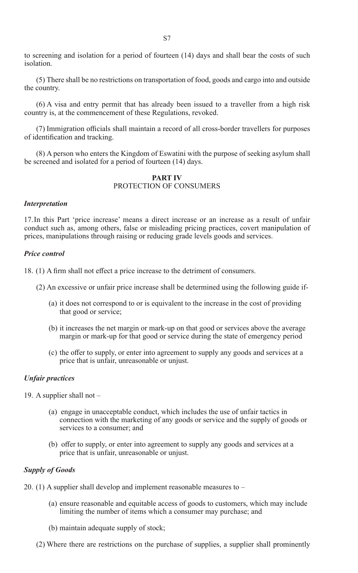to screening and isolation for a period of fourteen (14) days and shall bear the costs of such isolation.

(5) There shall be no restrictions on transportation of food, goods and cargo into and outside the country.

(6) A visa and entry permit that has already been issued to a traveller from a high risk country is, at the commencement of these Regulations, revoked.

(7) Immigration officials shall maintain a record of all cross-border travellers for purposes of identification and tracking.

(8) A person who enters the Kingdom of Eswatini with the purpose of seeking asylum shall be screened and isolated for a period of fourteen (14) days.

#### **PART IV** PROTECTION OF CONSUMERS

#### *Interpretation*

17.In this Part 'price increase' means a direct increase or an increase as a result of unfair conduct such as, among others, false or misleading pricing practices, covert manipulation of prices, manipulations through raising or reducing grade levels goods and services.

#### *Price control*

18. (1) A firm shall not effect a price increase to the detriment of consumers.

- (2) An excessive or unfair price increase shall be determined using the following guide if-
	- (a) it does not correspond to or is equivalent to the increase in the cost of providing that good or service;
	- (b) it increases the net margin or mark-up on that good or services above the average margin or mark-up for that good or service during the state of emergency period
	- (c) the offer to supply, or enter into agreement to supply any goods and services at a price that is unfair, unreasonable or unjust.

#### *Unfair practices*

- 19. A supplier shall not
	- (a) engage in unacceptable conduct, which includes the use of unfair tactics in connection with the marketing of any goods or service and the supply of goods or services to a consumer; and
	- (b) offer to supply, or enter into agreement to supply any goods and services at a price that is unfair, unreasonable or unjust.

#### *Supply of Goods*

- 20. (1) A supplier shall develop and implement reasonable measures to
	- (a) ensure reasonable and equitable access of goods to customers, which may include limiting the number of items which a consumer may purchase; and
	- (b) maintain adequate supply of stock;
	- (2) Where there are restrictions on the purchase of supplies, a supplier shall prominently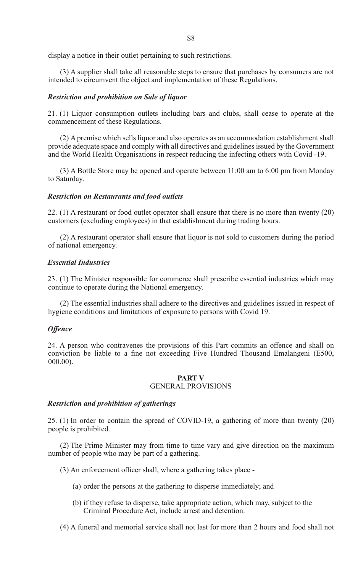display a notice in their outlet pertaining to such restrictions.

(3) A supplier shall take all reasonable steps to ensure that purchases by consumers are not intended to circumvent the object and implementation of these Regulations.

#### *Restriction and prohibition on Sale of liquor*

21. (1) Liquor consumption outlets including bars and clubs, shall cease to operate at the commencement of these Regulations.

(2) A premise which sells liquor and also operates as an accommodation establishment shall provide adequate space and comply with all directives and guidelines issued by the Government and the World Health Organisations in respect reducing the infecting others with Covid -19.

(3) A Bottle Store may be opened and operate between 11:00 am to 6:00 pm from Monday to Saturday.

#### *Restriction on Restaurants and food outlets*

22. (1) A restaurant or food outlet operator shall ensure that there is no more than twenty (20) customers (excluding employees) in that establishment during trading hours.

(2) A restaurant operator shall ensure that liquor is not sold to customers during the period of national emergency.

#### *Essential Industries*

23. (1) The Minister responsible for commerce shall prescribe essential industries which may continue to operate during the National emergency.

(2) The essential industries shall adhere to the directives and guidelines issued in respect of hygiene conditions and limitations of exposure to persons with Covid 19.

#### *Offence*

24. A person who contravenes the provisions of this Part commits an offence and shall on conviction be liable to a fine not exceeding Five Hundred Thousand Emalangeni (E500, 000.00).

#### **PART V** GENERAL PROVISIONS

#### *Restriction and prohibition of gatherings*

25. (1) In order to contain the spread of COVID-19, a gathering of more than twenty (20) people is prohibited.

(2) The Prime Minister may from time to time vary and give direction on the maximum number of people who may be part of a gathering.

- (3) An enforcement officer shall, where a gathering takes place -
	- (a) order the persons at the gathering to disperse immediately; and
	- (b) if they refuse to disperse, take appropriate action, which may, subject to the Criminal Procedure Act, include arrest and detention.
- (4) A funeral and memorial service shall not last for more than 2 hours and food shall not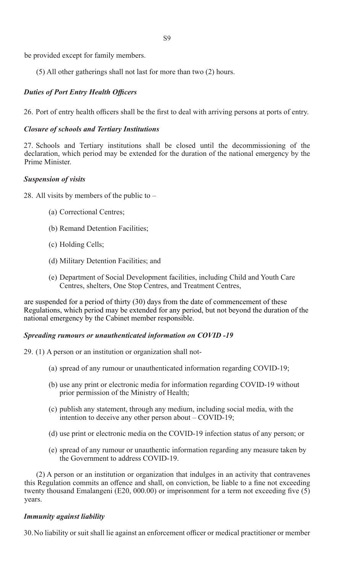be provided except for family members.

(5) All other gatherings shall not last for more than two (2) hours.

#### *Duties of Port Entry Health Officers*

26. Port of entry health officers shall be the first to deal with arriving persons at ports of entry.

#### *Closure of schools and Tertiary Institutions*

27. Schools and Tertiary institutions shall be closed until the decommissioning of the declaration, which period may be extended for the duration of the national emergency by the Prime Minister.

#### *Suspension of visits*

28. All visits by members of the public to –

- (a) Correctional Centres;
- (b) Remand Detention Facilities;
- (c) Holding Cells;
- (d) Military Detention Facilities; and
- (e) Department of Social Development facilities, including Child and Youth Care Centres, shelters, One Stop Centres, and Treatment Centres,

are suspended for a period of thirty (30) days from the date of commencement of these Regulations, which period may be extended for any period, but not beyond the duration of the national emergency by the Cabinet member responsible.

#### *Spreading rumours or unauthenticated information on COVID -19*

29.  $(1)$  A person or an institution or organization shall not-

- (a) spread of any rumour or unauthenticated information regarding COVID-19;
- (b) use any print or electronic media for information regarding COVID-19 without prior permission of the Ministry of Health;
- (c) publish any statement, through any medium, including social media, with the intention to deceive any other person about – COVID-19;
- (d) use print or electronic media on the COVID-19 infection status of any person; or
- (e) spread of any rumour or unauthentic information regarding any measure taken by the Government to address COVID-19.

(2) A person or an institution or organization that indulges in an activity that contravenes this Regulation commits an offence and shall, on conviction, be liable to a fine not exceeding twenty thousand Emalangeni (E20, 000.00) or imprisonment for a term not exceeding five (5) years.

#### *Immunity against liability*

30. No liability or suit shall lie against an enforcement officer or medical practitioner or member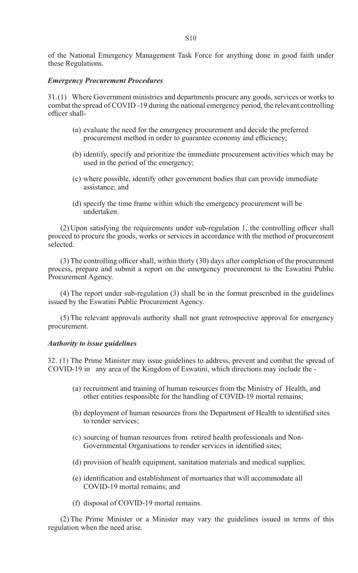of the National Emergency Management Task Force for anything done in good faith under these Regulations.

#### *Emergency Procurement Procedures*

31.(1) Where Government ministries and departments procure any goods, services or works to combat the spread of COVID -19 during the national emergency period, the relevant controlling officer shall-

- (a) evaluate the need for the emergency procurement and decide the preferred procurement method in order to guarantee economy and efficiency;
- (b) identify, specify and prioritize the immediate procurement activities which may be used in the period of the emergency;
- (c) where possible, identify other government bodies that can provide immediate assistance; and
- (d) specify the time frame within which the emergency procurement will be undertaken.

 $(2)$  Upon satisfying the requirements under sub-regulation 1, the controlling officer shall proceed to procure the goods, works or services in accordance with the method of procurement selected.

(3) The controlling officer shall, within thirty (30) days after completion of the procurement process, prepare and submit a report on the emergency procurement to the Eswatini Public Procurement Agency.

(4) The report under sub-regulation (3) shall be in the format prescribed in the guidelines issued by the Eswatini Public Procurement Agency.

(5) The relevant approvals authority shall not grant retrospective approval for emergency procurement.

#### *Authority to issue guidelines*

32. (1) The Prime Minister may issue guidelines to address, prevent and combat the spread of COVID-19 in any area of the Kingdom of Eswatini, which directions may include the -

- (a) recruitment and training of human resources from the Ministry of Health, and other entities responsible for the handling of COVID-19 mortal remains;
- (b) deployment of human resources from the Department of Health to identified sites to render services;
- (c) sourcing of human resources from retired health professionals and Non-Governmental Organisations to render services in identified sites;
- (d) provision of health equipment, sanitation materials and medical supplies;
- (e) identification and establishment of mortuaries that will accommodate all COVID-19 mortal remains; and
- (f) disposal of COVID-19 mortal remains.

(2) The Prime Minister or a Minister may vary the guidelines issued in terms of this regulation when the need arise.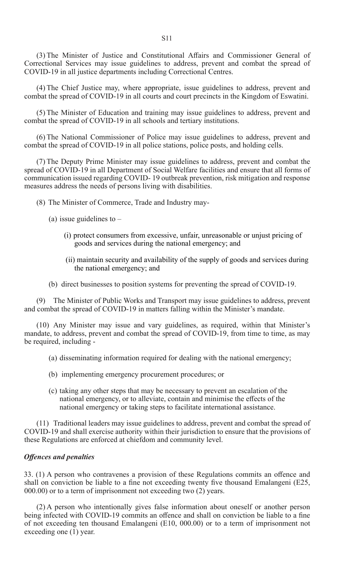(3) The Minister of Justice and Constitutional Affairs and Commissioner General of Correctional Services may issue guidelines to address, prevent and combat the spread of COVID-19 in all justice departments including Correctional Centres.

(4) The Chief Justice may, where appropriate, issue guidelines to address, prevent and combat the spread of COVID-19 in all courts and court precincts in the Kingdom of Eswatini.

(5) The Minister of Education and training may issue guidelines to address, prevent and combat the spread of COVID-19 in all schools and tertiary institutions.

(6) The National Commissioner of Police may issue guidelines to address, prevent and combat the spread of COVID-19 in all police stations, police posts, and holding cells.

(7) The Deputy Prime Minister may issue guidelines to address, prevent and combat the spread of COVID-19 in all Department of Social Welfare facilities and ensure that all forms of communication issued regarding COVID- 19 outbreak prevention, risk mitigation and response measures address the needs of persons living with disabilities.

- (8) The Minister of Commerce, Trade and Industry may-
	- (a) issue guidelines to  $-$ 
		- (i) protect consumers from excessive, unfair, unreasonable or unjust pricing of goods and services during the national emergency; and
		- (ii) maintain security and availability of the supply of goods and services during the national emergency; and
	- (b) direct businesses to position systems for preventing the spread of COVID-19.

(9) The Minister of Public Works and Transport may issue guidelines to address, prevent and combat the spread of COVID-19 in matters falling within the Minister's mandate.

(10) Any Minister may issue and vary guidelines, as required, within that Minister's mandate, to address, prevent and combat the spread of COVID-19, from time to time, as may be required, including -

- (a) disseminating information required for dealing with the national emergency;
- (b) implementing emergency procurement procedures; or
- (c) taking any other steps that may be necessary to prevent an escalation of the national emergency, or to alleviate, contain and minimise the effects of the national emergency or taking steps to facilitate international assistance.

(11) Traditional leaders may issue guidelines to address, prevent and combat the spread of COVID-19 and shall exercise authority within their jurisdiction to ensure that the provisions of these Regulations are enforced at chiefdom and community level.

#### *Offences and penalties*

33. (1) A person who contravenes a provision of these Regulations commits an offence and shall on conviction be liable to a fine not exceeding twenty five thousand Emalangeni (E25, 000.00) or to a term of imprisonment not exceeding two (2) years.

(2) A person who intentionally gives false information about oneself or another person being infected with COVID-19 commits an offence and shall on conviction be liable to a fine of not exceeding ten thousand Emalangeni (E10, 000.00) or to a term of imprisonment not exceeding one  $(1)$  year.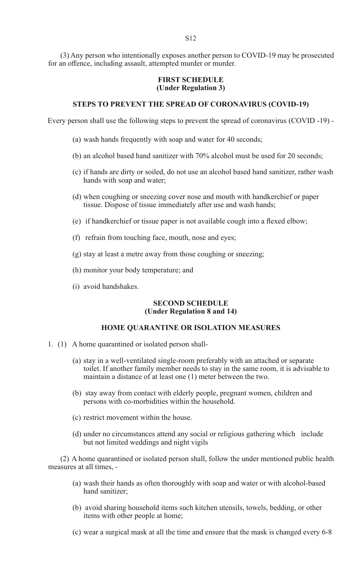(3) Any person who intentionally exposes another person to COVID-19 may be prosecuted for an offence, including assault, attempted murder or murder.

#### **FIRST SCHEDULE (Under Regulation 3)**

#### **STEPS TO PREVENT THE SPREAD OF CORONAVIRUS (COVID-19)**

Every person shall use the following steps to prevent the spread of coronavirus (COVID -19) -

- (a) wash hands frequently with soap and water for 40 seconds;
- (b) an alcohol based hand sanitizer with 70% alcohol must be used for 20 seconds;
- (c) if hands are dirty or soiled, do not use an alcohol based hand sanitizer, rather wash hands with soap and water;
- (d) when coughing or sneezing cover nose and mouth with handkerchief or paper tissue. Dispose of tissue immediately after use and wash hands;
- (e) if handkerchief or tissue paper is not available cough into a flexed elbow;
- (f) refrain from touching face, mouth, nose and eyes;
- $(g)$  stay at least a metre away from those coughing or sneezing;
- (h) monitor your body temperature; and
- (i) avoid handshakes.

#### **SECOND SCHEDULE (Under Regulation 8 and 14)**

#### **HOME QUARANTINE OR ISOLATION MEASURES**

- 1. (1) A home quarantined or isolated person shall-
	- (a) stay in a well-ventilated single-room preferably with an attached or separate toilet. If another family member needs to stay in the same room, it is advisable to maintain a distance of at least one (1) meter between the two.
	- (b) stay away from contact with elderly people, pregnant women, children and persons with co-morbidities within the household.
	- (c) restrict movement within the house.
	- (d) under no circumstances attend any social or religious gathering which include but not limited weddings and night vigils

(2) A home quarantined or isolated person shall, follow the under mentioned public health measures at all times, -

- (a) wash their hands as often thoroughly with soap and water or with alcohol-based hand sanitizer;
- (b) avoid sharing household items such kitchen utensils, towels, bedding, or other items with other people at home;
- (c) wear a surgical mask at all the time and ensure that the mask is changed every 6-8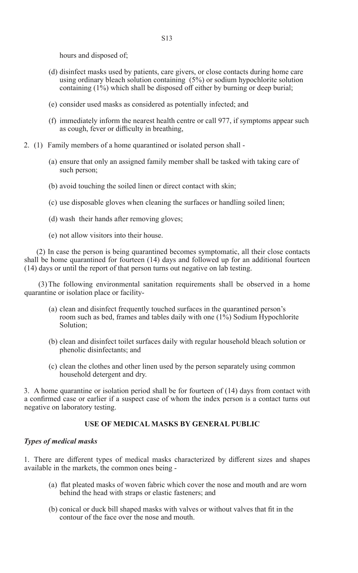hours and disposed of;

- (d) disinfect masks used by patients, care givers, or close contacts during home care using ordinary bleach solution containing (5%) or sodium hypochlorite solution containing  $(1\%)$  which shall be disposed off either by burning or deep burial;
- (e) consider used masks as considered as potentially infected; and
- (f) immediately inform the nearest health centre or call 977, if symptoms appear such as cough, fever or difficulty in breathing,
- 2. (1) Family members of a home quarantined or isolated person shall
	- (a) ensure that only an assigned family member shall be tasked with taking care of such person;
	- (b) avoid touching the soiled linen or direct contact with skin;
	- (c) use disposable gloves when cleaning the surfaces or handling soiled linen;
	- (d) wash their hands after removing gloves;
	- (e) not allow visitors into their house.

(2) In case the person is being quarantined becomes symptomatic, all their close contacts shall be home quarantined for fourteen (14) days and followed up for an additional fourteen (14) days or until the report of that person turns out negative on lab testing.

 (3) The following environmental sanitation requirements shall be observed in a home quarantine or isolation place or facility-

- (a) clean and disinfect frequently touched surfaces in the quarantined person's room such as bed, frames and tables daily with one (1%) Sodium Hypochlorite Solution;
- (b) clean and disinfect toilet surfaces daily with regular household bleach solution or phenolic disinfectants; and
- (c) clean the clothes and other linen used by the person separately using common household detergent and dry.

3. A home quarantine or isolation period shall be for fourteen of (14) days from contact with a confirmed case or earlier if a suspect case of whom the index person is a contact turns out negative on laboratory testing.

#### **USE OF MEDICAL MASKS BY GENERAL PUBLIC**

#### *Types of medical masks*

1. There are different types of medical masks characterized by different sizes and shapes available in the markets, the common ones being -

- (a) flat pleated masks of woven fabric which cover the nose and mouth and are worn behind the head with straps or elastic fasteners; and
- (b) conical or duck bill shaped masks with valves or without valves that fit in the contour of the face over the nose and mouth.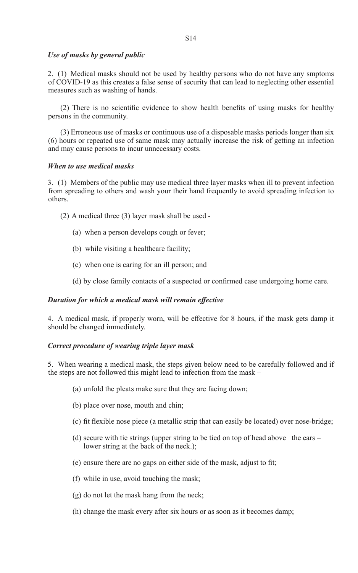#### *Use of masks by general public*

2. (1) Medical masks should not be used by healthy persons who do not have any smptoms of COVID-19 as this creates a false sense of security that can lead to neglecting other essential measures such as washing of hands.

(2) There is no scientific evidence to show health benefits of using masks for healthy persons in the community.

(3) Erroneous use of masks or continuous use of a disposable masks periods longer than six (6) hours or repeated use of same mask may actually increase the risk of getting an infection and may cause persons to incur unnecessary costs.

#### *When to use medical masks*

3. (1) Members of the public may use medical three layer masks when ill to prevent infection from spreading to others and wash your their hand frequently to avoid spreading infection to others.

(2) A medical three (3) layer mask shall be used -

- (a) when a person develops cough or fever;
- (b) while visiting a healthcare facility;
- (c) when one is caring for an ill person; and
- (d) by close family contacts of a suspected or confirmed case undergoing home care.

#### *Duration for which a medical mask will remain effective*

4. A medical mask, if properly worn, will be effective for 8 hours, if the mask gets damp it should be changed immediately.

#### *Correct procedure of wearing triple layer mask*

5. When wearing a medical mask, the steps given below need to be carefully followed and if the steps are not followed this might lead to infection from the mask –

- (a) unfold the pleats make sure that they are facing down;
- (b) place over nose, mouth and chin;
- (c) fit flexible nose piece (a metallic strip that can easily be located) over nose-bridge;
- (d) secure with tie strings (upper string to be tied on top of head above the ears lower string at the back of the neck.);
- (e) ensure there are no gaps on either side of the mask, adjust to fit;
- (f) while in use, avoid touching the mask;
- $(g)$  do not let the mask hang from the neck;
- (h) change the mask every after six hours or as soon as it becomes damp;